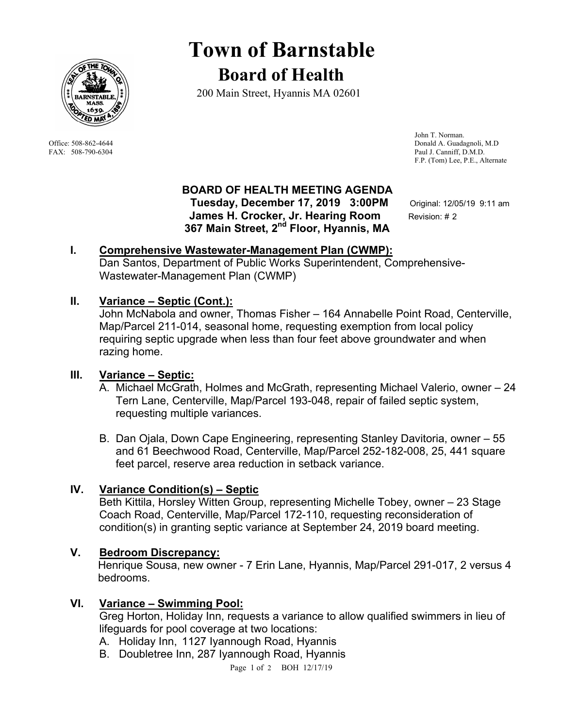

# **Town of Barnstable Board of Health**

200 Main Street, Hyannis MA 02601

 John T. Norman. Office: 508-862-4644 Donald A. Guadagnoli, M.D FAX: 508-790-6304 Paul J. Canniff, D.M.D. F.P. (Tom) Lee, P.E., Alternate

## **BOARD OF HEALTH MEETING AGENDA**

 **Tuesday, December 17, 2019 3:00PM** Original: 12/05/19 9:11 am **James H. Crocker, Jr. Hearing Room** Revision: # 2  **367 Main Street, 2nd Floor, Hyannis, MA** 

# **I. Comprehensive Wastewater-Management Plan (CWMP):**

Dan Santos, Department of Public Works Superintendent, Comprehensive-Wastewater-Management Plan (CWMP)

## **II. Variance – Septic (Cont.):**

John McNabola and owner, Thomas Fisher – 164 Annabelle Point Road, Centerville, Map/Parcel 211-014, seasonal home, requesting exemption from local policy requiring septic upgrade when less than four feet above groundwater and when razing home.

# **III. Variance – Septic:**

- A. Michael McGrath, Holmes and McGrath, representing Michael Valerio, owner 24 Tern Lane, Centerville, Map/Parcel 193-048, repair of failed septic system, requesting multiple variances.
- B. Dan Ojala, Down Cape Engineering, representing Stanley Davitoria, owner 55 and 61 Beechwood Road, Centerville, Map/Parcel 252-182-008, 25, 441 square feet parcel, reserve area reduction in setback variance.

# **IV. Variance Condition(s) – Septic**

Beth Kittila, Horsley Witten Group, representing Michelle Tobey, owner – 23 Stage Coach Road, Centerville, Map/Parcel 172-110, requesting reconsideration of condition(s) in granting septic variance at September 24, 2019 board meeting.

# **V. Bedroom Discrepancy:**

 Henrique Sousa, new owner - 7 Erin Lane, Hyannis, Map/Parcel 291-017, 2 versus 4 bedrooms.

## **VI. Variance – Swimming Pool:**

Greg Horton, Holiday Inn, requests a variance to allow qualified swimmers in lieu of lifeguards for pool coverage at two locations:

- A. Holiday Inn, 1127 Iyannough Road, Hyannis
- B. Doubletree Inn, 287 Iyannough Road, Hyannis

Page 1 of 2 BOH 12/17/19